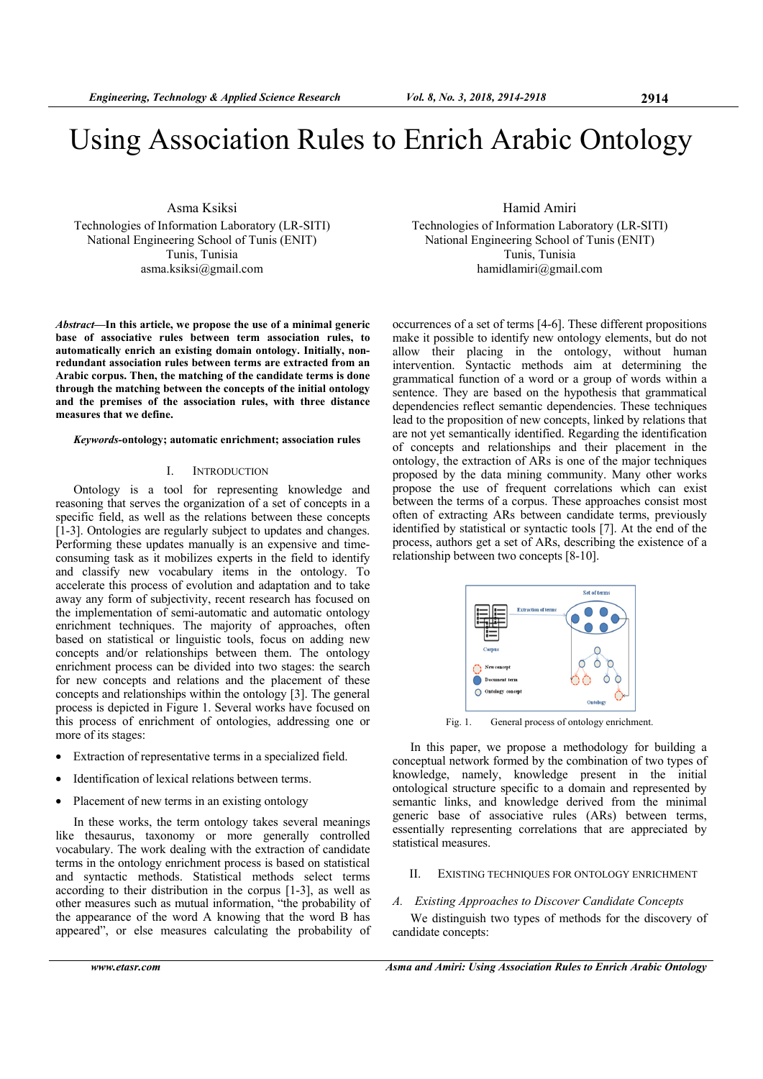# Using Association Rules to Enrich Arabic Ontology

Asma Ksiksi Technologies of Information Laboratory (LR-SITI) National Engineering School of Tunis (ENIT) Tunis, Tunisia

asma.ksiksi@gmail.com

*Abstract***—In this article, we propose the use of a minimal generic base of associative rules between term association rules, to automatically enrich an existing domain ontology. Initially, nonredundant association rules between terms are extracted from an Arabic corpus. Then, the matching of the candidate terms is done through the matching between the concepts of the initial ontology and the premises of the association rules, with three distance measures that we define.** 

#### *Keywords-***ontology; automatic enrichment; association rules**

## I. INTRODUCTION

Ontology is a tool for representing knowledge and reasoning that serves the organization of a set of concepts in a specific field, as well as the relations between these concepts [1-3]. Ontologies are regularly subject to updates and changes. Performing these updates manually is an expensive and timeconsuming task as it mobilizes experts in the field to identify and classify new vocabulary items in the ontology. To accelerate this process of evolution and adaptation and to take away any form of subjectivity, recent research has focused on the implementation of semi-automatic and automatic ontology enrichment techniques. The majority of approaches, often based on statistical or linguistic tools, focus on adding new concepts and/or relationships between them. The ontology enrichment process can be divided into two stages: the search for new concepts and relations and the placement of these concepts and relationships within the ontology [3]. The general process is depicted in Figure 1. Several works have focused on this process of enrichment of ontologies, addressing one or more of its stages:

- Extraction of representative terms in a specialized field.
- Identification of lexical relations between terms.
- Placement of new terms in an existing ontology

In these works, the term ontology takes several meanings like thesaurus, taxonomy or more generally controlled vocabulary. The work dealing with the extraction of candidate terms in the ontology enrichment process is based on statistical and syntactic methods. Statistical methods select terms according to their distribution in the corpus [1-3], as well as other measures such as mutual information, "the probability of the appearance of the word A knowing that the word B has appeared", or else measures calculating the probability of Hamid Amiri

Technologies of Information Laboratory (LR-SITI) National Engineering School of Tunis (ENIT) Tunis, Tunisia hamidlamiri@gmail.com

occurrences of a set of terms [4-6]. These different propositions make it possible to identify new ontology elements, but do not allow their placing in the ontology, without human intervention. Syntactic methods aim at determining the grammatical function of a word or a group of words within a sentence. They are based on the hypothesis that grammatical dependencies reflect semantic dependencies. These techniques lead to the proposition of new concepts, linked by relations that are not yet semantically identified. Regarding the identification of concepts and relationships and their placement in the ontology, the extraction of ARs is one of the major techniques proposed by the data mining community. Many other works propose the use of frequent correlations which can exist between the terms of a corpus. These approaches consist most often of extracting ARs between candidate terms, previously identified by statistical or syntactic tools [7]. At the end of the process, authors get a set of ARs, describing the existence of a relationship between two concepts [8-10].



Fig. 1. General process of ontology enrichment.

In this paper, we propose a methodology for building a conceptual network formed by the combination of two types of knowledge, namely, knowledge present in the initial ontological structure specific to a domain and represented by semantic links, and knowledge derived from the minimal generic base of associative rules (ARs) between terms, essentially representing correlations that are appreciated by statistical measures.

## II. EXISTING TECHNIQUES FOR ONTOLOGY ENRICHMENT

#### *A. Existing Approaches to Discover Candidate Concepts*

We distinguish two types of methods for the discovery of candidate concepts: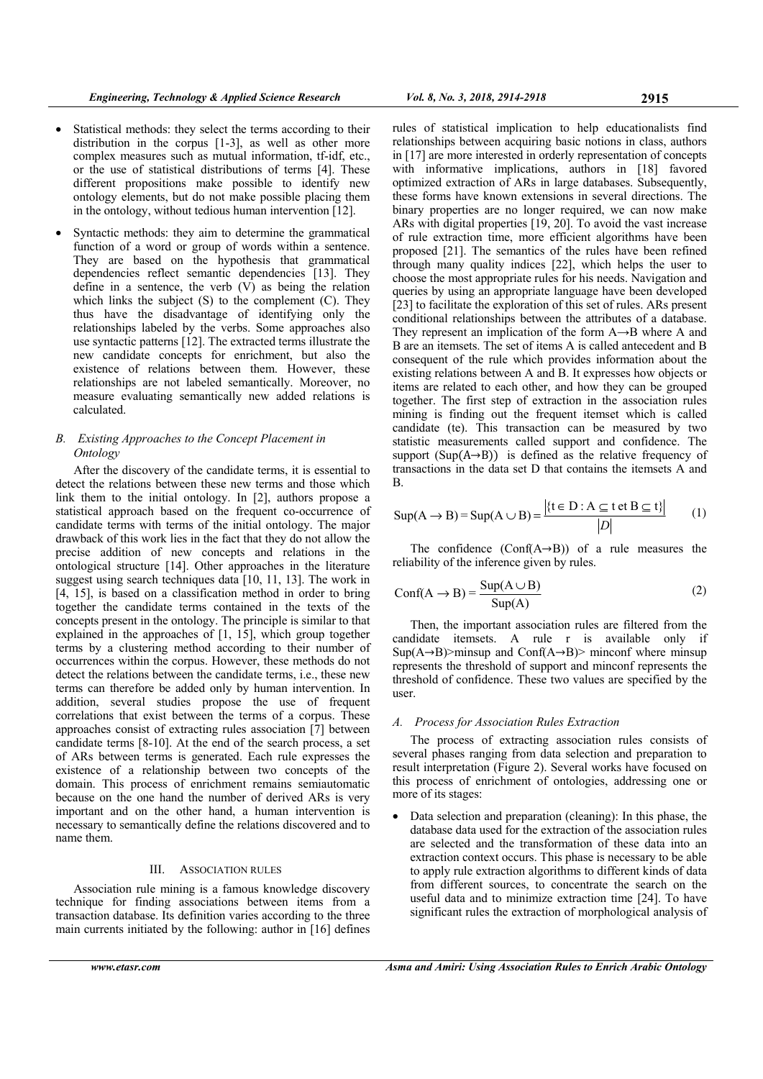- Statistical methods: they select the terms according to their distribution in the corpus [1-3], as well as other more complex measures such as mutual information, tf-idf, etc., or the use of statistical distributions of terms [4]. These different propositions make possible to identify new ontology elements, but do not make possible placing them in the ontology, without tedious human intervention [12].
- Syntactic methods: they aim to determine the grammatical function of a word or group of words within a sentence. They are based on the hypothesis that grammatical dependencies reflect semantic dependencies [13]. They define in a sentence, the verb  $(V)$  as being the relation which links the subject (S) to the complement (C). They thus have the disadvantage of identifying only the relationships labeled by the verbs. Some approaches also use syntactic patterns [12]. The extracted terms illustrate the new candidate concepts for enrichment, but also the existence of relations between them. However, these relationships are not labeled semantically. Moreover, no measure evaluating semantically new added relations is calculated.

# *B. Existing Approaches to the Concept Placement in Ontology*

After the discovery of the candidate terms, it is essential to detect the relations between these new terms and those which link them to the initial ontology. In [2], authors propose a statistical approach based on the frequent co-occurrence of candidate terms with terms of the initial ontology. The major drawback of this work lies in the fact that they do not allow the precise addition of new concepts and relations in the ontological structure [14]. Other approaches in the literature suggest using search techniques data [10, 11, 13]. The work in [4, 15], is based on a classification method in order to bring together the candidate terms contained in the texts of the concepts present in the ontology. The principle is similar to that explained in the approaches of [1, 15], which group together terms by a clustering method according to their number of occurrences within the corpus. However, these methods do not detect the relations between the candidate terms, i.e., these new terms can therefore be added only by human intervention. In addition, several studies propose the use of frequent correlations that exist between the terms of a corpus. These approaches consist of extracting rules association [7] between candidate terms [8-10]. At the end of the search process, a set of ARs between terms is generated. Each rule expresses the existence of a relationship between two concepts of the domain. This process of enrichment remains semiautomatic because on the one hand the number of derived ARs is very important and on the other hand, a human intervention is necessary to semantically define the relations discovered and to name them.

## III. ASSOCIATION RULES

Association rule mining is a famous knowledge discovery technique for finding associations between items from a transaction database. Its definition varies according to the three main currents initiated by the following: author in [16] defines queries by using an appropriate language have been developed [23] to facilitate the exploration of this set of rules. ARs present conditional relationships between the attributes of a database. They represent an implication of the form A→B where A and

B are an itemsets. The set of items A is called antecedent and B consequent of the rule which provides information about the existing relations between A and B. It expresses how objects or items are related to each other, and how they can be grouped together. The first step of extraction in the association rules mining is finding out the frequent itemset which is called candidate (te). This transaction can be measured by two statistic measurements called support and confidence. The support  $(Sup(A\rightarrow B))$  is defined as the relative frequency of transactions in the data set D that contains the itemsets A and B.

rules of statistical implication to help educationalists find relationships between acquiring basic notions in class, authors in [17] are more interested in orderly representation of concepts with informative implications, authors in [18] favored optimized extraction of ARs in large databases. Subsequently, these forms have known extensions in several directions. The binary properties are no longer required, we can now make ARs with digital properties [19, 20]. To avoid the vast increase of rule extraction time, more efficient algorithms have been proposed [21]. The semantics of the rules have been refined through many quality indices [22], which helps the user to choose the most appropriate rules for his needs. Navigation and

$$
Sup(A \to B) = Sup(A \cup B) = \frac{|\{t \in D : A \subseteq t \text{ et } B \subseteq t\}|}{|D|}
$$
 (1)

The confidence  $(Conf(A \rightarrow B))$  of a rule measures the reliability of the inference given by rules.

$$
Conf(A \to B) = \frac{Sup(A \cup B)}{Sup(A)}
$$
 (2)

Then, the important association rules are filtered from the candidate itemsets. A rule r is available only if  $Sup(A \rightarrow B)$ >minsup and Conf(A→B)> minconf where minsup represents the threshold of support and minconf represents the threshold of confidence. These two values are specified by the user.

# *A. Process for Association Rules Extraction*

The process of extracting association rules consists of several phases ranging from data selection and preparation to result interpretation (Figure 2). Several works have focused on this process of enrichment of ontologies, addressing one or more of its stages:

• Data selection and preparation (cleaning): In this phase, the database data used for the extraction of the association rules are selected and the transformation of these data into an extraction context occurs. This phase is necessary to be able to apply rule extraction algorithms to different kinds of data from different sources, to concentrate the search on the useful data and to minimize extraction time [24]. To have significant rules the extraction of morphological analysis of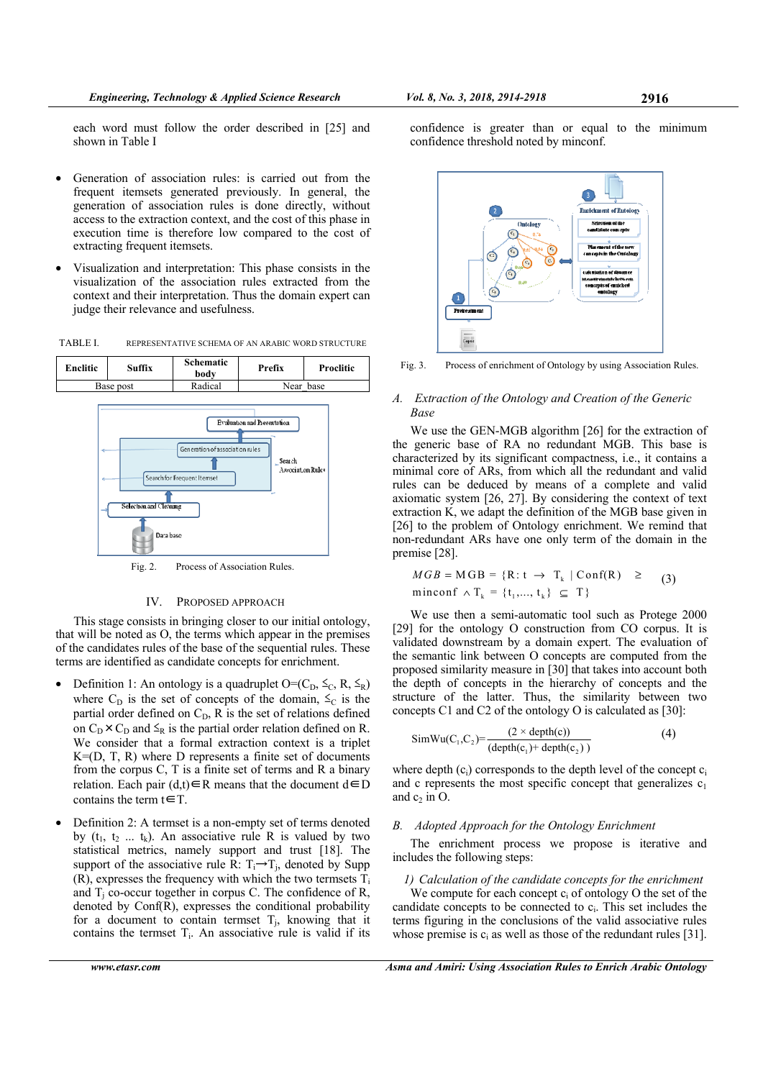each word must follow the order described in [25] and shown in Table I

- Generation of association rules: is carried out from the frequent itemsets generated previously. In general, the generation of association rules is done directly, without access to the extraction context, and the cost of this phase in execution time is therefore low compared to the cost of extracting frequent itemsets.
- Visualization and interpretation: This phase consists in the visualization of the association rules extracted from the context and their interpretation. Thus the domain expert can judge their relevance and usefulness.

TABLE I. REPRESENTATIVE SCHEMA OF AN ARABIC WORD STRUCTURE



Fig. 2. Process of Association Rules.

## IV. PROPOSED APPROACH

This stage consists in bringing closer to our initial ontology, that will be noted as O, the terms which appear in the premises of the candidates rules of the base of the sequential rules. These terms are identified as candidate concepts for enrichment.

- Definition 1: An ontology is a quadruplet  $O=(C_D, \leq_C, R, \leq_R)$ where  $C_D$  is the set of concepts of the domain,  $\leq_C$  is the partial order defined on  $C_D$ , R is the set of relations defined on  $C_D \times C_D$  and  $\leq_R$  is the partial order relation defined on R. We consider that a formal extraction context is a triplet K=(D, T, R) where D represents a finite set of documents from the corpus C, T is a finite set of terms and R a binary relation. Each pair  $(d,t) \in R$  means that the document d∈D contains the term  $t \in T$ .
- Definition 2: A termset is a non-empty set of terms denoted by  $(t_1, t_2, \ldots, t_k)$ . An associative rule R is valued by two statistical metrics, namely support and trust [18]. The support of the associative rule R:  $T_i \rightarrow T_i$ , denoted by Supp  $(R)$ , expresses the frequency with which the two termsets  $T_i$ and  $T_i$  co-occur together in corpus C. The confidence of R, denoted by Conf(R), expresses the conditional probability for a document to contain termset  $T_i$ , knowing that it contains the termset  $T_i$ . An associative rule is valid if its

confidence is greater than or equal to the minimum confidence threshold noted by minconf.



Fig. 3. Process of enrichment of Ontology by using Association Rules.

# *A. Extraction of the Ontology and Creation of the Generic Base*

We use the GEN-MGB algorithm [26] for the extraction of the generic base of RA no redundant MGB. This base is characterized by its significant compactness, i.e., it contains a minimal core of ARs, from which all the redundant and valid rules can be deduced by means of a complete and valid axiomatic system [26, 27]. By considering the context of text extraction K, we adapt the definition of the MGB base given in [26] to the problem of Ontology enrichment. We remind that non-redundant ARs have one only term of the domain in the premise [28].

$$
MGB = MGB = \{R: t \rightarrow T_k \mid Conf(R) \geq \text{(3)}
$$
  
minconf  $\land$  T<sub>k</sub> = {t<sub>1</sub>,..., t<sub>k</sub>}  $\subseteq$  T}

We use then a semi-automatic tool such as Protege 2000 [29] for the ontology O construction from CO corpus. It is validated downstream by a domain expert. The evaluation of the semantic link between O concepts are computed from the proposed similarity measure in [30] that takes into account both the depth of concepts in the hierarchy of concepts and the structure of the latter. Thus, the similarity between two concepts C1 and C2 of the ontology O is calculated as [30]:

$$
SimWu(C_1, C_2) = \frac{(2 \times depth(c))}{(depth(c_1) + depth(c_2))}
$$
 (4)

where depth  $(c_i)$  corresponds to the depth level of the concept  $c_i$ and c represents the most specific concept that generalizes  $c_1$ and  $c_2$  in O.

#### *B. Adopted Approach for the Ontology Enrichment*

The enrichment process we propose is iterative and includes the following steps:

*1) Calculation of the candidate concepts for the enrichment*  We compute for each concept  $c_i$  of ontology O the set of the candidate concepts to be connected to  $c_i$ . This set includes the terms figuring in the conclusions of the valid associative rules whose premise is  $c_i$  as well as those of the redundant rules [31].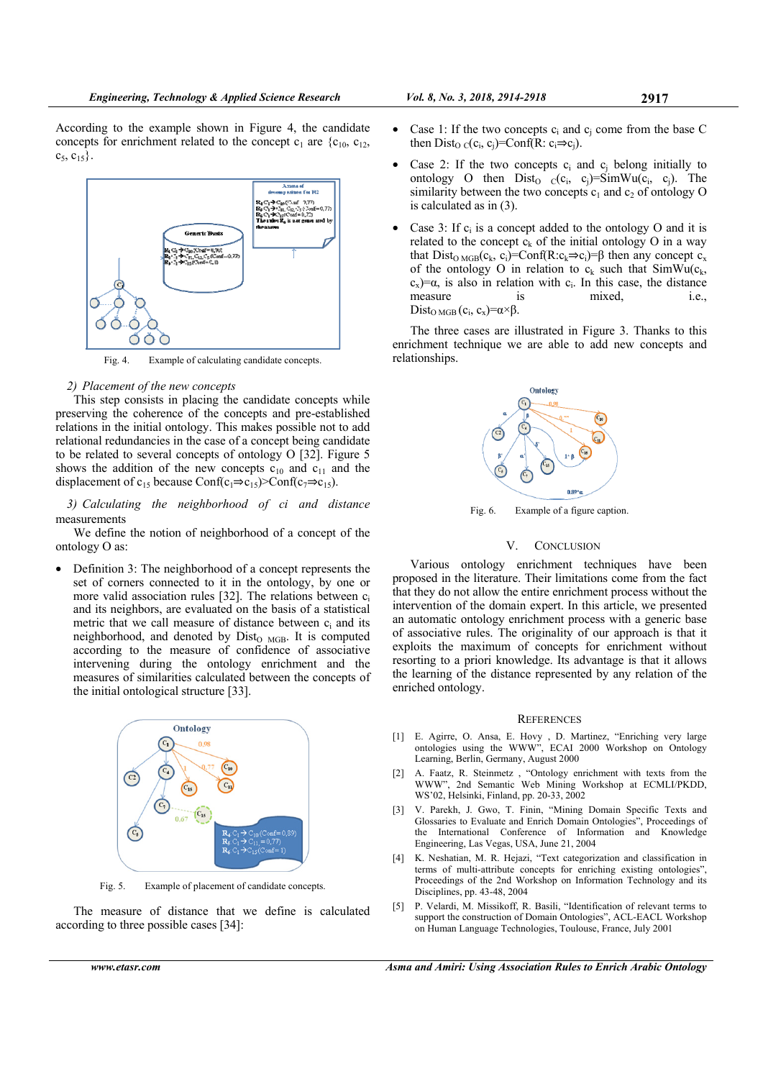According to the example shown in Figure 4, the candidate concepts for enrichment related to the concept  $c_1$  are  $\{c_{10}, c_{12},$  $c_5, c_{15}$ .



Fig. 4. Example of calculating candidate concepts.

## *2) Placement of the new concepts*

This step consists in placing the candidate concepts while preserving the coherence of the concepts and pre-established relations in the initial ontology. This makes possible not to add relational redundancies in the case of a concept being candidate to be related to several concepts of ontology O [32]. Figure 5 shows the addition of the new concepts  $c_{10}$  and  $c_{11}$  and the displacement of c<sub>15</sub> because Conf(c<sub>1</sub>⇒c<sub>15</sub>)>Conf(c<sub>7</sub>⇒c<sub>15</sub>).

*3) Calculating the neighborhood of ci and distance* measurements

We define the notion of neighborhood of a concept of the ontology O as:

• Definition 3: The neighborhood of a concept represents the set of corners connected to it in the ontology, by one or more valid association rules [32]. The relations between  $c_i$ and its neighbors, are evaluated on the basis of a statistical metric that we call measure of distance between  $c_i$  and its neighborhood, and denoted by Dist<sub>O MGB</sub>. It is computed according to the measure of confidence of associative intervening during the ontology enrichment and the measures of similarities calculated between the concepts of the initial ontological structure [33].



Fig. 5. Example of placement of candidate concepts.

The measure of distance that we define is calculated according to three possible cases [34]:

- Case 1: If the two concepts  $c_i$  and  $c_j$  come from the base C then Dist<sub>O C</sub>(c<sub>i</sub>, c<sub>i</sub>)=Conf(R: c<sub>i</sub> $\Rightarrow$ c<sub>i</sub>).
- Case 2: If the two concepts  $c_i$  and  $c_j$  belong initially to ontology O then  $Dist_{O C}(c_i, c_j)=SimWu(c_i, c_j)$ . The similarity between the two concepts  $c_1$  and  $c_2$  of ontology O is calculated as in (3).
- Case 3: If  $c_i$  is a concept added to the ontology O and it is related to the concept  $c_k$  of the initial ontology O in a way that Dist<sub>O MGB</sub>( $c_k$ ,  $c_i$ )=Conf(R: $c_k \Rightarrow c_i$ )= $\beta$  then any concept  $c_x$ of the ontology O in relation to  $c_k$  such that SimWu( $c_k$ , c<sub>x</sub>)= $\alpha$ , is also in relation with c<sub>i</sub>. In this case, the distance measure is mixed, i.e., Dist<sub>O MGB</sub>  $(c_i, c_x) = \alpha \times \beta$ .

The three cases are illustrated in Figure 3. Thanks to this enrichment technique we are able to add new concepts and relationships.



Fig. 6. Example of a figure caption.

#### V. CONCLUSION

Various ontology enrichment techniques have been proposed in the literature. Their limitations come from the fact that they do not allow the entire enrichment process without the intervention of the domain expert. In this article, we presented an automatic ontology enrichment process with a generic base of associative rules. The originality of our approach is that it exploits the maximum of concepts for enrichment without resorting to a priori knowledge. Its advantage is that it allows the learning of the distance represented by any relation of the enriched ontology.

#### **REFERENCES**

- [1] E. Agirre, O. Ansa, E. Hovy , D. Martinez, "Enriching very large ontologies using the WWW", ECAI 2000 Workshop on Ontology Learning, Berlin, Germany, August 2000
- [2] A. Faatz, R. Steinmetz , "Ontology enrichment with texts from the WWW", 2nd Semantic Web Mining Workshop at ECMLI/PKDD, WS'02, Helsinki, Finland, pp. 20-33, 2002
- [3] V. Parekh, J. Gwo, T. Finin, "Mining Domain Specific Texts and Glossaries to Evaluate and Enrich Domain Ontologies", Proceedings of the International Conference of Information and Knowledge Engineering, Las Vegas, USA, June 21, 2004
- [4] K. Neshatian, M. R. Hejazi, "Text categorization and classification in terms of multi-attribute concepts for enriching existing ontologies", Proceedings of the 2nd Workshop on Information Technology and its Disciplines, pp. 43-48, 2004
- [5] P. Velardi, M. Missikoff, R. Basili, "Identification of relevant terms to support the construction of Domain Ontologies", ACL-EACL Workshop on Human Language Technologies, Toulouse, France, July 2001